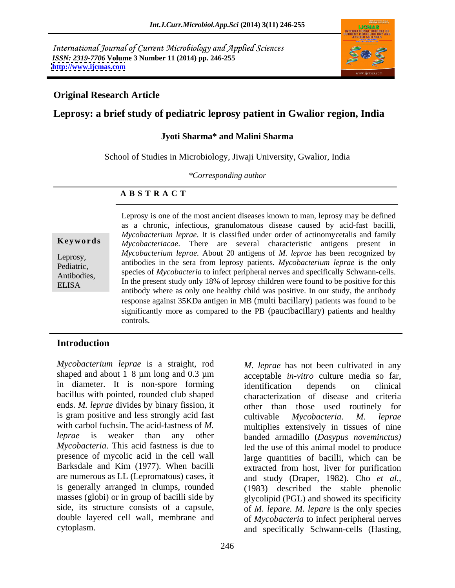International Journal of Current Microbiology and Applied Sciences *ISSN: 2319-7706* **Volume 3 Number 11 (2014) pp. 246-255 <http://www.ijcmas.com>**



#### **Original Research Article**

### **Leprosy: a brief study of pediatric leprosy patient in Gwalior region, India**

#### **Jyoti Sharma\* and Malini Sharma**

School of Studies in Microbiology, Jiwaji University, Gwalior, India

*\*Corresponding author*

#### **A B S T R A C T**

**Keywords** *Mycobacteriacae*. There are several characteristic antigens present in Leprosy, *Mycobacterium leprae.* About 20 antigens of *M. leprae* has been recognized by Pediatric, antibodies in the sera from leprosy patients. *Mycobacterium leprae* is the only Antibodies, Species of *mycobacteria* to filect peripheral fierves and specifically schwall-cells.<br>  $\overline{B}I$  **IS A** In the present study only 18% of leprosy children were found to be positive for this ELISA The present study only 18% of reprosy children were found to be positive for this antibody where as only one healthy child was positive. In our study, the antibody Leprosy is one of the most ancient diseases known to man, leprosy may be defined as a chronic, infectious, granulomatous disease caused by acid-fast bacilli, *Mycobacterium leprae*. It is classified under order of actinomycetalis and family species of *Mycobacteria* to infect peripheral nerves and specifically Schwann-cells. response against 35KDa antigen in MB (multi bacillary) patients was found to be significantly more as compared to the PB (paucibacillary) patients and healthy controls.

#### **Introduction**

*Mycobacterium leprae* is a straight, rod shaped and about 1–8 μm long and 0.3 μm acceptable *in-vitro* culture media so far, in diameter. It is non-spore forming identification depends on clinical bacillus with pointed, rounded club shaped ends. *M. leprae* divides by binary fission, it other than those used routinely for is gram positive and less strongly acid fast cultivable Mycobacteria. M. leprae with carbol fuchsin. The acid-fastness of M. The multiplies extensively in tissues of nine *leprae* is weaker than any other banded armadillo (*Dasypus noveminctus) Mycobacteria*. This acid fastness is due to led the use of this animal model to produce presence of mycolic acid in the cell wall large quantities of bacilli, which can be Barksdale and Kim (1977). When bacilli extracted from host, liver for purification are numerous as LL (Lepromatous) cases, it and study (Draper, 1982). Cho *et al.,* is generally arranged in clumps, rounded masses (globi) or in group of bacilli side by glycolipid (PGL) and showed its specificity side, its structure consists of a capsule, of *M. lepare. M. lepare* is the only species double layered cell wall, membrane and of *Mycobacteria* to infect peripheral nerves cytoplasm. and specifically Schwann-cells (Hasting,

*M. leprae* has not been cultivated in any identification depends on clinical characterization of disease and criteria other than those used routinely cultivable *Mycobacteria*. *M. leprae* (1983) described the stable phenolic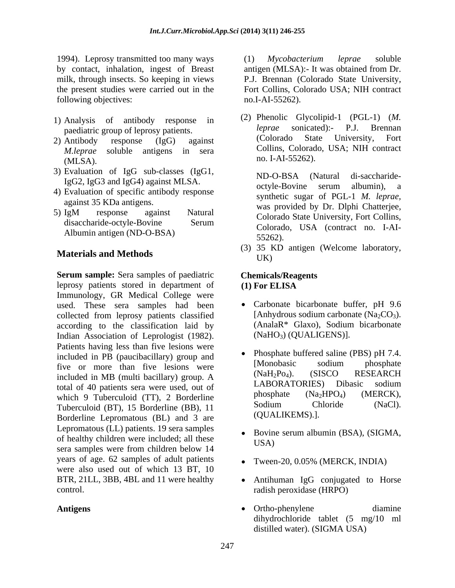1994). Leprosy transmitted too many ways (1) Mycobacterium leprae soluble by contact, inhalation, ingest of Breast antigen (MLSA):- It was obtained from Dr. milk, through insects. So keeping in views P.J. Brennan (Colorado State University, the present studies were carried out in the Fort Collins, Colorado USA; NIH contract following objectives:

- 1) Analysis of antibody response in (2) Phenonc Giyconpia-1 (PGL-1) (*M*.<br>
leprae sonicated):- P.J. Brennan
- 2) Antibody response (IgG) against (Colorado State University, Fort  $MLSA$ ).  $nO. I-AI-35262$ .
- 3) Evaluation of IgG sub-classes (IgG1,
- 4) Evaluation of specific antibody response
- $5)$  IgM response against Natural  $\frac{1}{2}$  Coloredo State University Fort Collins disaccharide-octyle-Bovine Serum Colorado Bute Chryslery, Fort Collins, Albumin antigen (ND-O-BSA)<br>55262).

## Materials and Methods UK)

**Serum sample:** Sera samples of paediatric **Chemicals/Reagents** leprosy patients stored in department of (1) For ELISA Immunology, GR Medical College were used. These sera samples had been collected from leprosy patients classified [Anhydrous sodium carbonate (Na<sub>2</sub>CO<sub>3</sub>).<br>according to the classification laid by (AnalaR<sup>\*</sup> Glaxo), Sodium bicarbonate according to the classification laid by Indian Association of Leprologist (1982). Patients having less than five lesions were included in PB (paucibacillary) group and<br>
Five or more than five logions were [Monobasic sodium phosphate five or more than five lesions were [MONODO [MONODO SOCUM | PROSPITE POSTALE Included in MP (multi-hecillery) group  $\Lambda$  (NaH<sub>2</sub>P<sub>O4</sub>). (SISCO RESEARCH included in MB (multi bacillary) group. A<br>total of 40 patients sere were used out of LABORATORIES) Dibasic sodium total of 40 patients sera were used, out of  $LABOKA1OKIES)$  Dibasic socium<br>which 0 Tuberculoid (TT) 2 Borderline phosphate  $(Na_2HPO_4)$  (MERCK), which 9 Tuberculoid (TT), 2 Borderline  $\frac{\text{prospate}}{\text{Solution (Na2HPO4)}}$  (MERCK),<br>Tuberculoid (BT), 15 Borderline (BB), 11 Sodium Chloride (NaCl). Tuberculoid (BT), 15 Borderline (BB), 11 Borderline Lepromatous (BL) and 3 are Lepromatous (LL) patients. 19 sera samples of healthy children were included; all these USA) sera samples were from children below 14 years of age. 62 samples of adult patients were also used out of which 13 BT, 10

(1) *Mycobacterium leprae* soluble no.I-AI-55262).

paediatric group of leprosy patients.<br>Antibody response (LgG) against (Colorado State University, Fort *M.leprae* soluble antigens in sera **COLUS** Colorado, USA; NIH contract (2) Phenolic Glycolipid-1 (PGL-1) (*M. leprae* sonicated):- P.J. Brennan (Colorado State University, Fort Collins, Colorado, USA; NIH contract no. I-AI-55262).

IgG2, IgG3 and IgG4) against MLSA. The observed octyle-Bovine serum albumin), a against 35 KDa antigens.<br>
Was provided by Dr. Dlphi Chatterjee, ND-O-BSA (Natural di-saccharide octyle-Bovine serum albumin), a synthetic sugar of PGL-1 *M. leprae,*  Colorado State University, Fort Collins, Colorado, USA (contract no. I-AI-  $55262$ ).

(3) 35 KD antigen (Welcome laboratory, UK)

#### **Chemicals/Reagents (1) For ELISA**

- Carbonate bicarbonate buffer, pH 9.6 [Anhydrous sodium carbonate  $(Na_2CO_3)$ . (AnalaR\* Glaxo), Sodium bicarbonate (NaHO3) (QUALIGENS)].
- Phosphate buffered saline (PBS) pH 7.4. [Monobasic sodium phosphate (NaH2Po4). (SISCO RESEARCH LABORATORIES) Dibasic sodium phosphate  $(Na_2HPO_4)$  (MERCK), Sodium Chloride (NaCl). (QUALIKEMS).].
- Bovine serum albumin (BSA), (SIGMA, USA)
- Tween-20, 0.05% (MERCK, INDIA)
- BTR, 21LL, 3BB, 4BL and 11 were healthy Antihuman IgG conjugated to Horse control. radish peroxidase (HRPO)
- Antigens **and Contact Contact Contact Contact Contact Contact Contact Contact Contact Contact Contact Contact Contact Contact Contact Contact Contact Contact Contact Contact Contact Contact Contact Contact Contact Contact** Ortho-phenylene diamine dihydrochloride tablet (5 mg/10 ml distilled water). (SIGMA USA)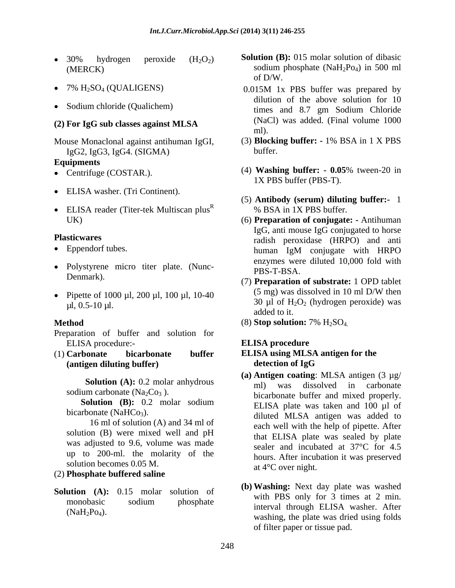- 
- 
- 

# **(2) For IgG sub classes against MLSA**

Mouse Monaclonal against antihuman IgGI,  $(3)$  **Blocki**<br>
IgG2 IgG3 IgG4 (SIGMA) buffer IgG2, IgG3, IgG4. (SIGMA)

#### **Equipments**

- 
- ELISA washer. (Tri Continent).
- $\bullet$  ELISA reader (Titer-tek Multiscan plus<sup>R</sup>)

- 
- Polystyrene micro titer plate. (Nunc-<br>PBS-T-BSA.
- 

Preparation of buffer and solution for ELISA procedure:-<br>
ELISA procedure

(1) **Carbonate bicarbonate buffer ELISA using MLSA antigen for the (antigen diluting buffer)**

solution (B) were mixed well and pH was adjusted to 9.6, volume was made up to 200-ml. the molarity of the solution becomes 0.05 M.

#### (2) **Phosphate buffered saline**

**Solution (A):** 0.15 molar solution of

- 30% hydrogen peroxide  $(H_2O_2)$  **Solution (B):** 015 molar solution of dibasic (MERCK) sodium phosphate  $(NaH_2Po_4)$  in 500 ml **Solution (B):** 015 molar solution of dibasic of D/W.
- $7\%$  H<sub>2</sub>SO<sub>4</sub> (QUALIGENS)  $0.015M$  1x PBS buffer was prepared by Sodium chloride (Qualichem) times and 8.7 gm Sodium Chloride dilution of the above solution for 10 (NaCl) was added. (Final volume 1000 ml).
	- (3) **Blocking buffer: -** 1% BSA in 1 X PBS buffer. The contract of the contract of the contract of the contract of the contract of the contract of the contract of the contract of the contract of the contract of the contract of the contract of the contract of the co
- Centrifuge (COSTAR.). (4) **Washing buffer: - 0.05**% tween-20 in 1X PBS buffer (PBS-T).
	- $R = 0$   $R = 1$   $R = 1$   $R = 1$   $R = 1$   $R = 1$   $R = 1$   $R = 1$   $R = 1$   $R = 1$   $R = 1$   $R = 1$   $R = 1$   $R = 1$   $R = 1$   $R = 1$   $R = 1$   $R = 1$   $R = 1$   $R = 1$   $R = 1$   $R = 1$   $R = 1$   $R = 1$   $R = 1$   $R = 1$   $R = 1$   $R = 1$   $R = 1$   $R = 1$   $R = 1$   $R =$ (5) **Antibody (serum) diluting buffer:-** 1 % BSA in 1X PBS buffer.
- UK) (6) **Preparation of conjugate: -** Antihuman **Plasticwares** and **radish** peroxidase (HRPO) and anti • Eppendorf tubes. human IgM conjugate with HRPO IgG, anti mouse IgG conjugated to horse human IgM conjugate with HRPO enzymes were diluted 10,000 fold with PBS-T-BSA.
- Denmark).<br>
(7) **Preparation of substrate:** 1 OPD tablet • Pipette of 1000 µl, 200 µl, 100 µl, 10-40  $(5 \text{ mg})$  was dissolved in 10 ml D/W then  $\mu$ l, 0.5-10  $\mu$ l.  $\mu$ .  $\mu$ .  $\mu$ .  $\mu$ .  $\mu$ .  $\mu$ .  $\mu$ .  $\mu$ . (5 mg) was dissolved in 10 ml D/W then added to it.
- **Method** (8) **Stop solution:** 7% H2SO4.

### **ELISA procedure**

# **detection of IgG**

- **Solution** (A): 0.2 molar anhydrous ml) was dissolved in carbonate sodium carbonate  $(Na_2Co_3)$ .<br>bicarbonate buffer and mixed properly. **Solution (B):** 0.2 molar sodium ELISA plate was taken and 100 ul of bicarbonate (NaHCo<sub>3</sub>).<br>diluted MLSA antigen was added to 16 ml of solution (A) and 34 ml of each well with the help of pipette. After **(a) Antigen coating**: MLSA antigen (3 µg/ ml) was dissolved in carbonate ELISA plate was taken and 100 µl of that ELISA plate was sealed by plate sealer and incubated at 37°C for 4.5 hours. After incubation it was preserved at 4°C over night.
	- monobasic sodium phosphate  $\frac{1}{2}$  monobasic sodium phosphate  $\frac{1}{2}$  monobasic sodium  $(MaH<sub>2</sub>Po<sub>4</sub>)$ .  $Mabla W<sub>1</sub>$  washing, the plate was dried using folds **(b) Washing:** Next day plate was washed with PBS only for 3 times at 2 min. interval through ELISA washer. After of filter paper or tissue pad.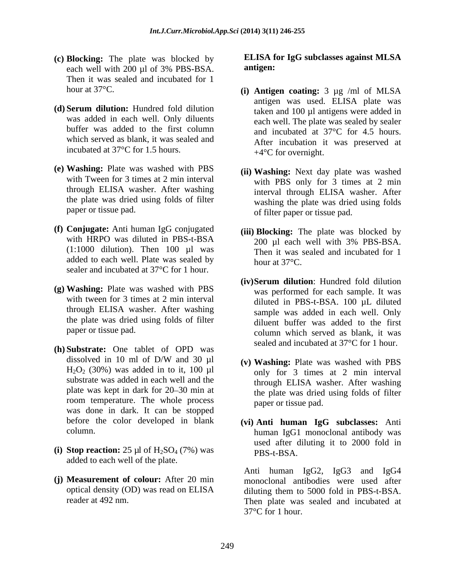- **(c) Blocking:** The plate was blocked by **ELISA f** each well with 200 ul of 3% PBS-BSA. **antigen:** each well with 200 µl of 3% PBS-BSA. **antigen:** Then it was sealed and incubated for 1
- **(d) Serum dilution:** Hundred fold dilution was added in each well. Only diluents which served as blank, it was sealed and incubated at 37°C for 1.5 hours.
- **(e) Washing:** Plate was washed with PBS through ELISA washer. After washing the plate was dried using folds of filter
- **(f) Conjugate:** Anti human IgG conjugated  $(1:1000$  dilution). Then  $100$  ul was added to each well. Plate was sealed by  $h_{\text{our at }37^{\circ}C}$ . sealer and incubated at 37°C for 1 hour.
- **(g) Washing:** Plate was washed with PBS through ELISA washer. After washing the plate was dried using folds of filter
- **(h) Substrate:** One tablet of OPD was dissolved in 10 ml of D/W and 30  $\mu$ l (v) Washing: Plate was washed with PBS substrate was added in each well and the plate was kept in dark for 20–30 min at room temperature. The whole process was done in dark. It can be stopped
- (i) **Stop reaction:**  $25 \mu l$  of  $H_2SO_4$  (7%) was **PBS-t-BSA**. added to each well of the plate.
- **(j) Measurement of colour:** After 20 min monoclonal antibodies were used after

#### **ELISA for IgG subclasses against MLSA antigen:**

- hour at 37°C. **(i) Antigen coating:** 3 µg /ml of MLSA buffer was added to the first column and incubated at 37°C for 4.5 hours. antigen was used. ELISA plate was taken and 100 µl antigens were added in each well. The plate was sealed by sealer After incubation it was preserved at  $+4$ °C for overnight.
- with Tween for 3 times at 2 min interval with PBS only for  $\frac{3}{3}$  times at 2 min paper or tissue pad.  $\overline{a}$  of filter paper or tissue pad. **(ii) Washing:** Next day plate was washed interval through ELISA washer. After washing the plate was dried using folds
- with HRPO was diluted in PBS-t-BSA  $200 \text{ µl}$  each well with  $3\%$  PBS-BSA. **(iii) Blocking:** The plate was blocked by 200 µl each well with 3% PBS-BSA. Then it was sealed and incubated for 1 hour at  $37^{\circ}$ C.
- with tween for 3 times at 2 min interval diluted in PBS-t-BSA. 100  $\mu$ L diluted paper or tissue pad. column which served as blank, it was **(iv)Serum dilution**: Hundred fold dilution was performed for each sample. It was sample was added in each well. Only diluent buffer was added to the first sealed and incubated at 37°C for 1 hour.
- $H_2O_2$  (30%) was added in to it, 100 µl only for 3 times at 2 min interval **(v) Washing:** Plate was washed with PBS through ELISA washer. After washing the plate was dried using folds of filter paper or tissue pad.
- before the color developed in blank **(vi) Anti human IgG subclasses:** Anti column. human IgG1 monoclonal antibody was used after diluting it to 2000 fold in PBS-t-BSA.

optical density (OD) was read on ELISA diluting them to 5000 fold in PBS-t-BSA. reader at 492 nm. Then plate was sealed and incubated at Anti human IgG2, IgG3 and IgG4 37°C for 1 hour.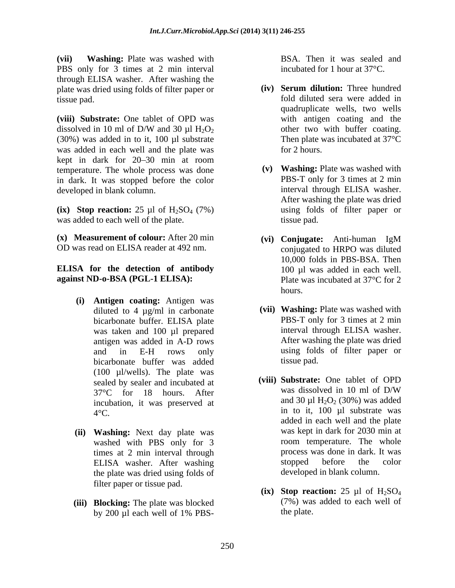**(vii) Washing:** Plate was washed with **BSA.** Then it was sealed and PBS only for 3 times at 2 min interval through ELISA washer. After washing the<br>
plate was dried using folds of filter paper or (iv) Serum dilution: Three hundred plate was dried using folds of filter paper or tissue pad. fold diluted sera were added in

**(viii) Substrate:** One tablet of OPD was dissolved in 10 ml of D/W and 30  $\mu$ l H<sub>2</sub>O<sub>2</sub> other two with buffer coating. (30%) was added in to it, 100 µl substrate was added in each well and the plate was for 2 hours. kept in dark for 20–30 min at room temperature. The whole process was done in dark. It was stopped before the color **PBS-T** only for 3 times at 2 min developed in blank column **interval** through ELISA washer. developed in blank column.

 $\left( \textbf{ix} \right)$  **Stop reaction:** 25 µl of H<sub>2</sub>SO<sub>4</sub> (7%) was added to each well of the plate. The state of the state pad.

**(x) Measurement of colour:** After 20 min OD was read on ELISA reader at 492 nm. conjugated to HRPO was diluted

#### **ELISA for the detection of antibody against ND-o-BSA (PGL-1 ELISA):** Plate was incubated at 37<sup>o</sup>C for 2

- **(i) Antigen coating:** Antigen was bicarbonate buffer was added  $(100 \text{ }\mu$ /wells). The plate was<br>sealed by sealer and incubated at (viii) Substrate: One tablet of OPD incubation, it was preserved at **EVERT PRIGE WAS VERT TO THE ASSOCIATE THE CONSULTER CONSULTER THE CONSULTER CONSULTER (STAN WAS CONSULTER THE CONSULTER CONSULTER CONSULTER (STAN WAS CONSULTER THE CONSULTER CONSULTER (STAN WAS CONSULTER THE CONSULTER CO**
- (ii) **Washing:** Next day plate was<br>washed with PBS only for 3 com temperature. The whole washed with PBS only for 3 the plate was dried using folds of filter paper or tissue pad.
- **(iii) Blocking:** The plate was blocked

incubated for 1 hour at 37°C.

- **(iv) Serum dilution:** Three hundred quadruplicate wells, two wells with antigen coating and the other two with buffer coating. Then plate was incubated at 37°C for 2 hours.
- **(v) Washing:** Plate was washed with PBS-T only for 3 times at 2 min interval through ELISA washer. After washing the plate was dried using folds of filter paper or tissue pad.
- **(vi) Conjugate:** Anti-human IgM conjugated to HRPO was diluted 10,000 folds in PBS-BSA. Then 100 µl was added in each well. Plate was incubated at 37°C for 2 hours.
- diluted to 4 µg/ml in carbonate **(vii) Washing:** Plate was washed with bicarbonate buffer. ELISA plate PBS-T only for 3 times at 2 min was taken and 100 µl prepared interval through ELISA washer. antigen was added in A-D rows and in E-H rows only PBS-T only for 3 times at 2 min interval through ELISA washer. After washing the plate was dried using folds of filter paper or tissue pad.
- sealed by sealer and incubated at (viii) **Substrate:** One tablet of OPD<br>37°C for 18 hours After was dissolved in 10 ml of D/W  $37^{\circ}$ C for 18 hours. After was dissolved in 10 m of D/W  $4^{\circ}$ C.  $\qquad \qquad$  in to it, 100 µl substrate was times at 2 min interval through through the process was done in dark. It was<br>ELISA washer. After washing the stopped before the color ELISA washer. After washing stopped before the color **(viii) Substrate:** One tablet of OPD was dissolved in 10 ml of D/W and 30  $\mu$ l H<sub>2</sub>O<sub>2</sub> (30%) was added added in each well and the plate was kept in dark for 2030 min at room temperature. The whole process was done in dark. It was stopped before the color developed in blank column.
	- **(ix) Stop reaction:** 25  $\mu$ l of H<sub>2</sub>SO<sub>4</sub> (7%) was added to each well of the plate.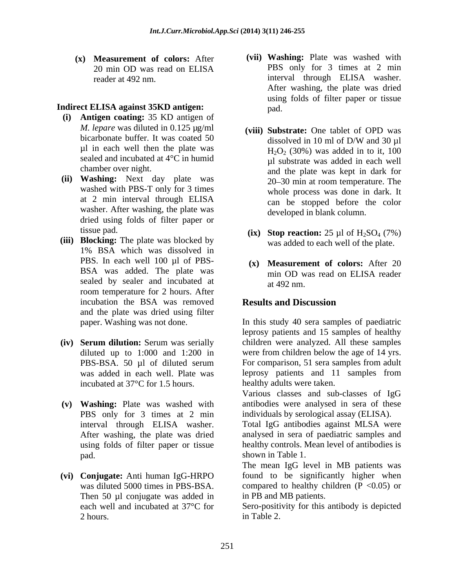**(x) Measurement of colors:** After

#### **Indirect ELISA against 35KD antigen:**

- **(i) Antigen coating:** 35 KD antigen of *M. lepare* was diluted in 0.125 µg/ml (viii) Substrate: One tablet of OPD was µl in each well then the plate was sealed and incubated at 4°C in humid
- washed with PBS-T only for 3 times washer. After washing, the plate was dried using folds of filter paper or
- **(iii) Blocking:** The plate was blocked by 1% BSA which was dissolved in PBS. In each well 100 µl of PBSsealed by sealer and incubated at a  $\frac{1}{2}$  at 492 nm room temperature for 2 hours. After incubation the BSA was removed **Results and Discussion** and the plate was dried using filter
- **(iv) Serum dilution:** Serum was serially incubated at 37°C for 1.5 hours.
- **(v) Washing:** Plate was washed with pad. by a shown in Table 1.
- **(vi) Conjugate:** Anti human IgG-HRPO Then 50 µl conjugate was added in
- 20 min OD was read on ELISA PBS only for 3 times at 2 min reader at 492 nm. The interval through ELISA washer. **(vii) Washing:** Plate was washed with PBS only for 3 times at 2 min interval through ELISA washer. After washing, the plate was dried using folds of filter paper or tissue pad.
- bicarbonate buffer. It was coated 50 dissolved in 10 ml of D/W and 30 µl chamber over night.<br>
and the plate was kept in dark for **(ii) Washing:** Next day plate was at 2 min interval through ELISA  $\overline{c}$  can be stopped before the color **(viii) Substrate:** One tablet of OPD was dissolved in 10 ml of D/W and 30 µl  $H<sub>2</sub>O<sub>2</sub>$  (30%) was added in to it, 100 µl substrate was added in each well 20–30 min at room temperature. The whole process was done in dark. It can be stopped before the color developed in blank column.
	- tissue pad.  $\bf{(ix)}$  **Stop reaction:** 25 µl of H<sub>2</sub>SO<sub>4</sub> (7%) was added to each well of the plate.
	- BSA was added. The plate was min OD was read on ELISA reader **(x) Measurement of colors:** After 20 min OD was read on ELISA reader at 492 nm.

### **Results and Discussion**

paper. Washing was not done. In this study 40 sera samples of paediatric diluted up to 1:000 and 1:200 in were from children below the age of 14 yrs. PBS-BSA. 50 µl of diluted serum For comparison, 51 sera samples from adult was added in each well. Plate was leprosy patients and 11 samples from leprosy patients and 15 samples of healthy children were analyzed. All these samples healthy adults were taken.

PBS only for 3 times at 2 min individuals by serological assay (ELISA). Various classes and sub-classes of IgG antibodies were analysed in sera of these

interval through ELISA washer. Total IgG antibodies against MLSA were After washing, the plate was dried analysed in sera of paediatric samples and using folds of filter paper or tissue healthy controls. Mean level of antibodies is shown in Table 1.

was diluted 5000 times in PBS-BSA. compared to healthy children (P < 0.05) or The mean IgG level in MB patients was found to be significantly higher when in PB and MB patients.

each well and incubated at 37°C for Sero-positivity for this antibody is depicted 2 hours. Table 2. in Table 2.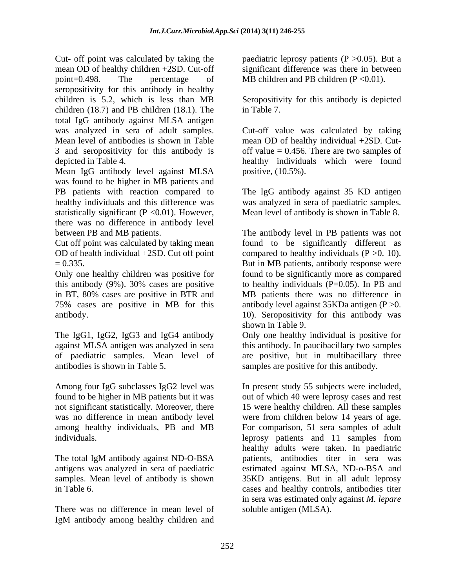Cut- off point was calculated by taking the paediatric leprosy patients (P >0.05). But a mean OD of healthy children +2SD. Cut-off significant difference was there in between point=0.498. The percentage of MB children and PB children (P <0.01). seropositivity for this antibody in healthy children is 5.2, which is less than MB Seropositivity for this antibody is depicted children (18.7) and PB children (18.1). The in Table 7. total IgG antibody against MLSA antigen was analyzed in sera of adult samples. Cut-off value was calculated by taking Mean level of antibodies is shown in Table mean OD of healthy individual +2SD. Cut- 3 and seropositivity for this antibody is off value = 0.456. There are two samples of

Mean IgG antibody level against MLSA was found to be higher in MB patients and PB patients with reaction compared to The IgG antibody against 35 KD antigen healthy individuals and this difference was was analyzed in sera of paediatric samples. statistically significant ( $P \le 0.01$ ). However, there was no difference in antibody level between PB and MB patients. The antibody level in PB patients was not

Only one healthy children was positive for found to be significantly more as compared this antibody (9%). 30% cases are positive to healthy individuals (P=0.05). In PB and in BT, 80% cases are positive in BTR and MB patients there was no difference in 75% cases are positive in MB for this antibody level against 35KDa antigen (P >0.

The IgG1, IgG2, IgG3 and IgG4 antibody only one healthy individual is positive for against MLSA antigen was analyzed in sera this antibody. In paucibacillary two samples of paediatric samples. Mean level of are positive, but in multibacillary three antibodies is shown in Table 5. samples are positive for this antibody.

individuals. The legrosy patients and 11 samples from

There was no difference in mean level of IgM antibody among healthy children and

in Table 7.

depicted in Table 4. healthy individuals which were found positive, (10.5%).

Mean level of antibody is shown in Table 8.

Cut off point was calculated by taking mean found to be significantly different as OD of health individual +2SD. Cut off point compared to healthy individuals (P >0. 10). = 0.335. But in MB patients, antibody response were antibody. 10). Seropositivity for this antibody was shown in Table 9.

Only one healthy individual is positive for this antibody. In paucibacillary two samples

Among four IgG subclasses IgG2 level was In present study 55 subjects were included, found to be higher in MB patients but it was out of which 40 were leprosy cases and rest not significant statistically. Moreover, there 15 were healthy children. All these samples was no difference in mean antibody level were from children below 14 years of age. among healthy individuals, PB and MB For comparison, 51 sera samples of adult The total IgM antibody against ND-O-BSA antigens was analyzed in sera of paediatric estimated against MLSA, ND-o-BSA and samples. Mean level of antibody is shown 35KD antigens. But in all adult leprosy in Table 6. cases and healthy controls, antibodies titer leprosy patients and 11 samples from healthy adults were taken. In paediatric patients, antibodies titer in sera was in sera was estimated only against *M. lepare* soluble antigen (MLSA).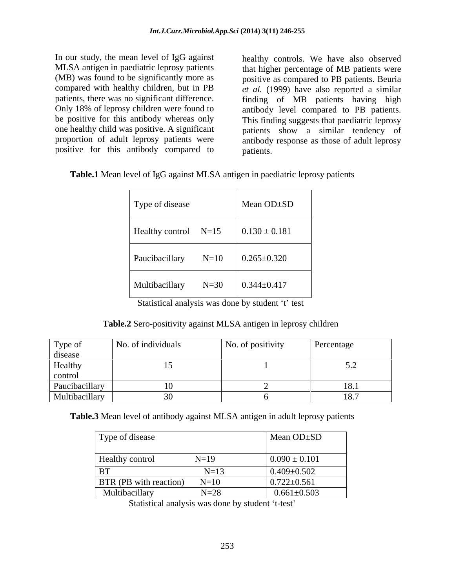In our study, the mean level of IgG against Only 18% of leprosy children were found to antibody level compared to PB patients. be positive for this antibody whereas only This finding suggests that paediatric leprosy positive for this antibody compared to

MLSA antigen in paediatric leprosy patients that higher percentage of MB patients were (MB) was found to be significantly more as positive as compared to PB patients. Beuria compared with healthy children, but in PB *et al.* (1999) have also reported a similar patients, there was no significant difference. finding of MB patients having high one healthy child was positive. A significant patients show a similar tendency of proportion of adult leprosy patients were antibody response as those of adult leprosy healthy controls. We have also observed antibody level compared to PB patients. This finding suggests that paediatric leprosy patients.

**Table.1** Mean level of IgG against MLSA antigen in paediatric leprosy patients

| Type of disease        | Mean $OD \pm SD$  |
|------------------------|-------------------|
| Healthy control $N=15$ | $0.130 \pm 0.181$ |
| Paucibacillary $N=10$  | $0.265 \pm 0.320$ |
| Multibacillary N=30    | $0.344 \pm 0.417$ |

Statistical analysis was done by student 't' test

**Table.2** Sero-positivity against MLSA antigen in leprosy children

| Type of        | No. of individuals | No. of positivity | Percentage |
|----------------|--------------------|-------------------|------------|
| disease        |                    |                   |            |
| Healthy        |                    |                   |            |
| control        |                    |                   |            |
| Paucibacillary |                    |                   | 18.1       |
| Multibacillary |                    |                   | 10.7       |

**Table.3** Mean level of antibody against MLSA antigen in adult leprosy patients

| Type of disease               |                                         | Mean $OD \pm SD$  |
|-------------------------------|-----------------------------------------|-------------------|
| <b>Healthy control</b>        | $\mathbf{M} = \mathbf{10}$<br>$19 - 17$ | $0.090 \pm 0.101$ |
| <b>BT</b>                     | $+1 - 1 -$                              | $0.409 \pm 0.502$ |
| <b>BTR</b> (PB with reaction) | $N=10$                                  | $0.722 \pm 0.561$ |
| Multibacillary                | $N=28$                                  | $0.661 \pm 0.503$ |

Statistical analysis was done by student 't-test'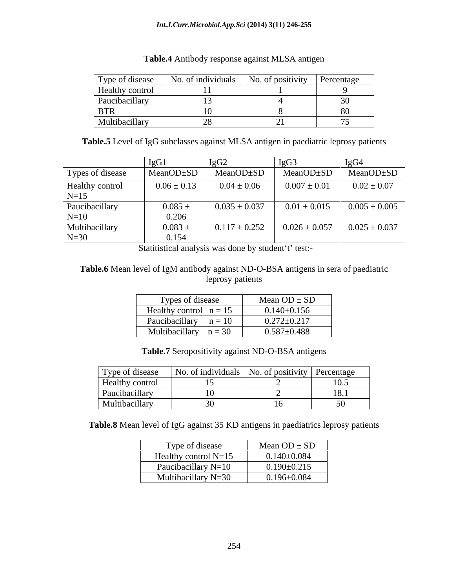| Type of disease        | $\sim$ $\sim$ $\sim$ $\sim$<br>No. of individuals | No. of positivity | Percentage |
|------------------------|---------------------------------------------------|-------------------|------------|
| <b>Healthy control</b> |                                                   |                   |            |
| Paucibacillary         |                                                   |                   |            |
| <b>BTR</b>             |                                                   |                   |            |
| Multibacillary         |                                                   |                   |            |

#### **Table.4** Antibody response against MLSA antigen

**Table.5** Level of IgG subclasses against MLSA antigen in paediatric leprosy patients

|                  |                                                         |                                                  | IgG3                            | 1gu4              |
|------------------|---------------------------------------------------------|--------------------------------------------------|---------------------------------|-------------------|
| Types of disease | $\vert$ MeanOD $\pm$ SD $\vert$ MeanOD $\pm$ SD $\vert$ |                                                  | $MeanOD \pm SD$ $MeanOD \pm SD$ |                   |
| Healthy control  | $0.06 \pm 0.13$                                         | $0.04 \pm 0.06$                                  | $0.007 \pm 0.01$                | $0.02 \pm 0.07$   |
| $N=15$           |                                                         |                                                  |                                 |                   |
| Paucibacillary   | $0.085 \pm$                                             | $0.035 \pm 0.037$                                | $0.01 \pm 0.015$                | $0.005 \pm 0.005$ |
| $N=10$           | 0.206                                                   |                                                  |                                 |                   |
| Multibacillary   | $0.083 \pm$                                             | $0.117 \pm 0.252$ $\qquad \quad 0.026 \pm 0.057$ |                                 | $0.025 \pm 0.037$ |
| $N=30$           | 0.154                                                   |                                                  |                                 |                   |

Statitistical analysis was done by student't' test:-

#### **Table.6** Mean level of IgM antibody against ND-O-BSA antigens in sera of paediatric leprosy patients

| Types of disease         | Mean $OD \pm SD$  |
|--------------------------|-------------------|
| Healthy control $n = 15$ | $0.140 \pm 0.156$ |
| Paucibacillary $n = 10$  | $0.272 \pm 0.217$ |
| Multibacillary $n = 30$  | $0.587 \pm 0.488$ |

| Table.7 S<br>.7 Seropositivity against ND-O-BSA<br>antigens |  |
|-------------------------------------------------------------|--|
|                                                             |  |

| Type of disease        | .<br>No. of individuals   No. of positivity | $\cdots$<br>. | Percentage     |
|------------------------|---------------------------------------------|---------------|----------------|
| <b>Healthy control</b> |                                             |               | 10.5           |
| Paucibacillary         |                                             |               | $\mathbf{0.1}$ |
| Multibacillary         |                                             |               |                |

**Table.8** Mean level of IgG against 35 KD antigens in paediatrics leprosy patients

| Type of disease        | Mean $OD \pm SD$  |
|------------------------|-------------------|
| Healthy control $N=15$ | $0.140{\pm}0.084$ |
| Paucibacillary N=10    | $0.190 \pm 0.215$ |
| Multibacillary N=30    | $0.196 \pm 0.084$ |